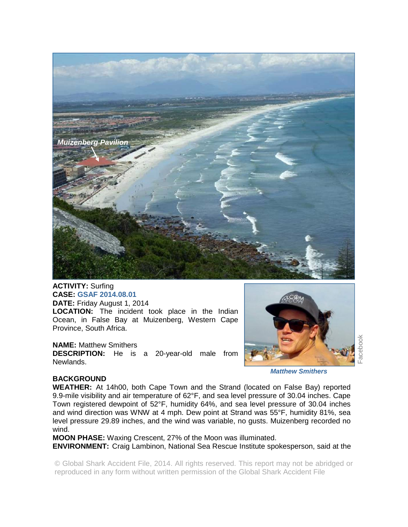

**ACTIVITY:** Surfing **CASE: GSAF 2014.08.01 DATE:** Friday August 1, 2014 **LOCATION:** The incident took place in the Indian Ocean, in False Bay at Muizenberg, Western Cape Province, South Africa.

**NAME:** Matthew Smithers **DESCRIPTION:** He is a 20-year-old male from Newlands.



**BACKGROUND** 

**WEATHER:** At 14h00, both Cape Town and the Strand (located on False Bay) reported 9.9-mile visibility and air temperature of 62°F, and sea level pressure of 30.04 inches. Cape Town registered dewpoint of 52°F, humidity 64%, and sea level pressure of 30.04 inches and wind direction was WNW at 4 mph. Dew point at Strand was 55°F, humidity 81%, sea level pressure 29.89 inches, and the wind was variable, no gusts. Muizenberg recorded no wind.

**MOON PHASE:** Waxing Crescent, 27% of the Moon was illuminated.

**ENVIRONMENT:** Craig Lambinon, National Sea Rescue Institute spokesperson, said at the

© Global Shark Accident File, 2014. All rights reserved. This report may not be abridged or reproduced in any form without written permission of the Global Shark Accident File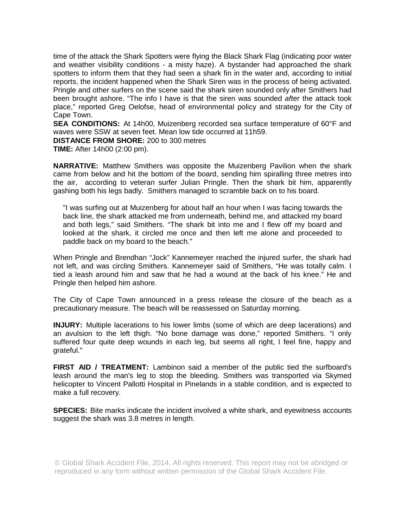time of the attack the Shark Spotters were flying the Black Shark Flag (indicating poor water and weather visibility conditions - a misty haze). A bystander had approached the shark spotters to inform them that they had seen a shark fin in the water and, according to initial reports, the incident happened when the Shark Siren was in the process of being activated. Pringle and other surfers on the scene said the shark siren sounded only after Smithers had been brought ashore. "The info I have is that the siren was sounded *after* the attack took place," reported Greg Oelofse, head of environmental policy and strategy for the City of Cape Town.

**SEA CONDITIONS:** At 14h00, Muizenberg recorded sea surface temperature of 60°F and waves were SSW at seven feet. Mean low tide occurred at 11h59.

**DISTANCE FROM SHORE:** 200 to 300 metres

**TIME:** After 14h00 (2:00 pm).

**NARRATIVE:** Matthew Smithers was opposite the Muizenberg Pavilion when the shark came from below and hit the bottom of the board, sending him spiralling three metres into the air, according to veteran surfer Julian Pringle. Then the shark bit him, apparently gashing both his legs badly. Smithers managed to scramble back on to his board.

"I was surfing out at Muizenberg for about half an hour when I was facing towards the back line, the shark attacked me from underneath, behind me, and attacked my board and both legs," said Smithers. "The shark bit into me and I flew off my board and looked at the shark, it circled me once and then left me alone and proceeded to paddle back on my board to the beach."

When Pringle and Brendhan "Jock" Kannemeyer reached the injured surfer, the shark had not left, and was circling Smithers. Kannemeyer said of Smithers, "He was totally calm. I tied a leash around him and saw that he had a wound at the back of his knee." He and Pringle then helped him ashore.

The City of Cape Town announced in a press release the closure of the beach as a precautionary measure. The beach will be reassessed on Saturday morning.

**INJURY:** Multiple lacerations to his lower limbs (some of which are deep lacerations) and an avulsion to the left thigh. "No bone damage was done," reported Smithers. "I only suffered four quite deep wounds in each leg, but seems all right, I feel fine, happy and grateful."

**FIRST AID / TREATMENT:** Lambinon said a member of the public tied the surfboard's leash around the man's leg to stop the bleeding. Smithers was transported via Skymed helicopter to Vincent Pallotti Hospital in Pinelands in a stable condition, and is expected to make a full recovery.

**SPECIES:** Bite marks indicate the incident involved a white shark, and eyewitness accounts suggest the shark was 3.8 metres in length.

© Global Shark Accident File, 2014. All rights reserved. This report may not be abridged or reproduced in any form without written permission of the Global Shark Accident File.